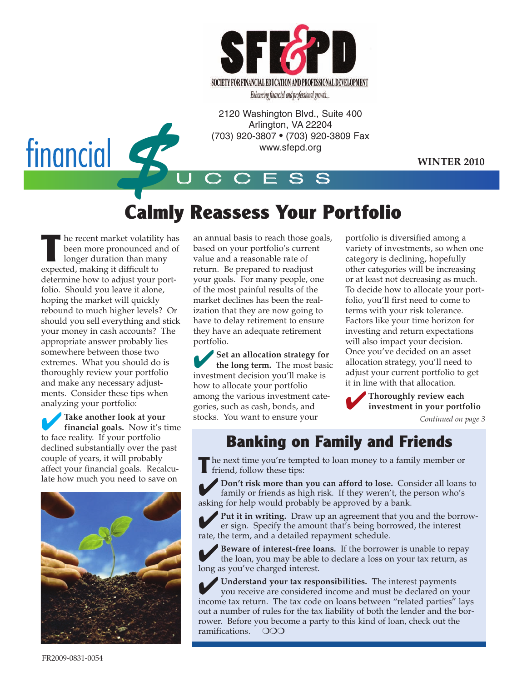

Enhancing financial and professional growth...

2120 Washington Blvd., Suite 400 Arlington, VA 22204 (703) 920-3807 • (703) 920-3809 Fax www.sfepd.org

**WINTER 2010**

# financial **4**

## **Calmly Reassess Your Portfolio**

U C C E S S

**THE READER IS NOTE THANK IS NOT THE READER IS NOT THE READER IS NOT THE READER IS NOT THE READER IS NOT THE PARTIES OF THE PAPER IS NOT THE PAPER IS NOT THE PAPER IS NOT THE PAPER IS NOT THE PAPER IS NOT THE PAPER IS NOT** been more pronounced and of longer duration than many expected, making it difficult to determine how to adjust your portfolio. Should you leave it alone, hoping the market will quickly rebound to much higher levels? Or should you sell everything and stick your money in cash accounts? The appropriate answer probably lies somewhere between those two extremes. What you should do is thoroughly review your portfolio and make any necessary adjustments. Consider these tips when analyzing your portfolio:

✔**Take another look at your financial goals.** Now it's time to face reality. If your portfolio declined substantially over the past couple of years, it will probably affect your financial goals. Recalculate how much you need to save on



an annual basis to reach those goals, based on your portfolio's current value and a reasonable rate of return. Be prepared to readjust your goals. For many people, one of the most painful results of the market declines has been the realization that they are now going to have to delay retirement to ensure they have an adequate retirement portfolio.

✔**Set an allocation strategy for the long term.** The most basic investment decision you'll make is how to allocate your portfolio among the various investment categories, such as cash, bonds, and stocks. You want to ensure your

portfolio is diversified among a variety of investments, so when one category is declining, hopefully other categories will be increasing or at least not decreasing as much. To decide how to allocate your portfolio, you'll first need to come to terms with your risk tolerance. Factors like your time horizon for investing and return expectations will also impact your decision. Once you've decided on an asset allocation strategy, you'll need to adjust your current portfolio to get it in line with that allocation.

✔**Thoroughly review each investment in your portfolio**

*Continued on page 3*

### **Banking on Family and Friends**

**T** he next time you're tempted to loan money to a family member or friend, follow these tips:

✔**Don't risk more than you can afford to lose.** Consider all loans to family or friends as high risk. If they weren't, the person who's asking for help would probably be approved by a bank.

Put it in writing. Draw up an agreement that you and the borrower sign. Specify the amount that's being borrowed, the interest rate, the term, and a detailed repayment schedule.

Beware of interest-free loans. If the borrower is unable to repay the loan, you may be able to declare a loss on your tax return, as long as you've charged interest.

✔**Understand your tax responsibilities.** The interest payments you receive are considered income and must be declared on your income tax return. The tax code on loans between "related parties" lays out a number of rules for the tax liability of both the lender and the borrower. Before you become a party to this kind of loan, check out the ramifications. ❍❍❍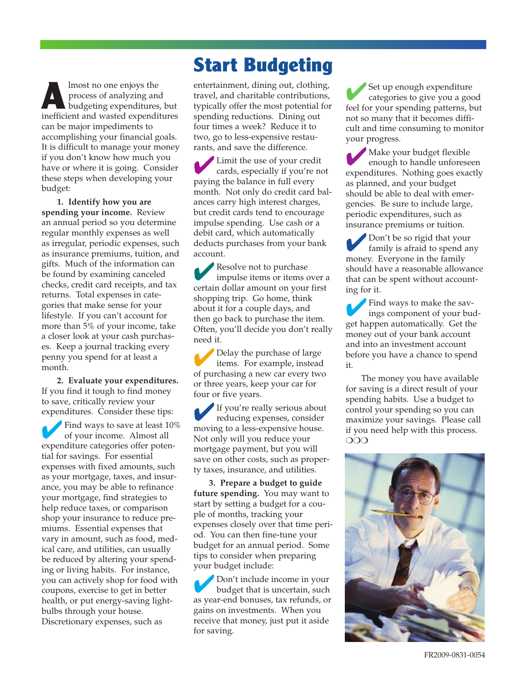**A**lmost no one enjoys the process of analyzing and budgeting expenditures, but inefficient and wasted expenditures can be major impediments to accomplishing your financial goals. It is difficult to manage your money if you don't know how much you have or where it is going. Consider these steps when developing your budget:

**1. Identify how you are spending your income.** Review an annual period so you determine regular monthly expenses as well as irregular, periodic expenses, such as insurance premiums, tuition, and gifts. Much of the information can be found by examining canceled checks, credit card receipts, and tax returns. Total expenses in categories that make sense for your lifestyle. If you can't account for more than 5% of your income, take a closer look at your cash purchases. Keep a journal tracking every penny you spend for at least a month.

**2. Evaluate your expenditures.** If you find it tough to find money to save, critically review your expenditures. Consider these tips:

✔Find ways to save at least 10% of your income. Almost all expenditure categories offer potential for savings. For essential expenses with fixed amounts, such as your mortgage, taxes, and insurance, you may be able to refinance your mortgage, find strategies to help reduce taxes, or comparison shop your insurance to reduce premiums. Essential expenses that vary in amount, such as food, medical care, and utilities, can usually be reduced by altering your spending or living habits. For instance, you can actively shop for food with coupons, exercise to get in better health, or put energy-saving lightbulbs through your house. Discretionary expenses, such as

## **Start Budgeting**

entertainment, dining out, clothing, travel, and charitable contributions, typically offer the most potential for spending reductions. Dining out four times a week? Reduce it to two, go to less-expensive restaurants, and save the difference.

✔Limit the use of your credit cards, especially if you're not paying the balance in full every month. Not only do credit card balances carry high interest charges, but credit cards tend to encourage impulse spending. Use cash or a debit card, which automatically deducts purchases from your bank account.

✔Resolve not to purchase impulse items or items over a certain dollar amount on your first shopping trip. Go home, think about it for a couple days, and then go back to purchase the item. Often, you'll decide you don't really need it.

Delay the purchase of large items. For example, instead of purchasing a new car every two or three years, keep your car for four or five years.

✔If you're really serious about reducing expenses, consider moving to a less-expensive house. Not only will you reduce your mortgage payment, but you will save on other costs, such as property taxes, insurance, and utilities.

**3. Prepare a budget to guide future spending.** You may want to start by setting a budget for a couple of months, tracking your expenses closely over that time period. You can then fine-tune your budget for an annual period. Some tips to consider when preparing your budget include:

✔Don't include income in your budget that is uncertain, such as year-end bonuses, tax refunds, or gains on investments. When you receive that money, just put it aside for saving.

Set up enough expenditure categories to give you a good feel for your spending patterns, but not so many that it becomes difficult and time consuming to monitor your progress.

✔ Make your budget flexible enough to handle unforeseen expenditures. Nothing goes exactly as planned, and your budget should be able to deal with emergencies. Be sure to include large, periodic expenditures, such as insurance premiums or tuition.

✔Don't be so rigid that your family is afraid to spend any money. Everyone in the family should have a reasonable allowance that can be spent without accounting for it.

✔Find ways to make the savings component of your budget happen automatically. Get the money out of your bank account and into an investment account before you have a chance to spend it.

The money you have available for saving is a direct result of your spending habits. Use a budget to control your spending so you can maximize your savings. Please call if you need help with this process. ❍❍❍

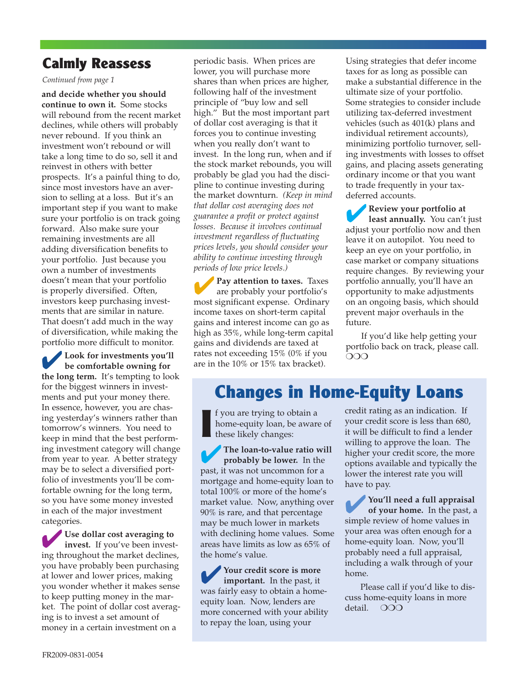#### **Calmly Reassess**

*Continued from page 1*

**and decide whether you should continue to own it.** Some stocks will rebound from the recent market declines, while others will probably never rebound. If you think an investment won't rebound or will take a long time to do so, sell it and reinvest in others with better prospects. It's a painful thing to do, since most investors have an aversion to selling at a loss. But it's an important step if you want to make sure your portfolio is on track going forward. Also make sure your remaining investments are all adding diversification benefits to your portfolio. Just because you own a number of investments doesn't mean that your portfolio is properly diversified. Often, investors keep purchasing investments that are similar in nature. That doesn't add much in the way of diversification, while making the portfolio more difficult to monitor.

✔**Look for investments you'll be comfortable owning for the long term.** It's tempting to look for the biggest winners in investments and put your money there. In essence, however, you are chasing yesterday's winners rather than tomorrow's winners. You need to keep in mind that the best performing investment category will change from year to year. A better strategy may be to select a diversified portfolio of investments you'll be comfortable owning for the long term, so you have some money invested in each of the major investment categories.

✔**Use dollar cost averaging to invest.** If you've been investing throughout the market declines, you have probably been purchasing at lower and lower prices, making you wonder whether it makes sense to keep putting money in the market. The point of dollar cost averaging is to invest a set amount of money in a certain investment on a

periodic basis. When prices are lower, you will purchase more shares than when prices are higher, following half of the investment principle of "buy low and sell high." But the most important part of dollar cost averaging is that it forces you to continue investing when you really don't want to invest. In the long run, when and if the stock market rebounds, you will probably be glad you had the discipline to continue investing during the market downturn. *(Keep in mind that dollar cost averaging does not guarantee a profit or protect against losses. Because it involves continual investment regardless of fluctuating prices levels, you should consider your ability to continue investing through periods of low price levels.)*

**Pay attention to taxes.** Taxes are probably your portfolio's most significant expense. Ordinary income taxes on short-term capital gains and interest income can go as high as 35%, while long-term capital gains and dividends are taxed at rates not exceeding 15% (0% if you are in the 10% or 15% tax bracket).

Using strategies that defer income taxes for as long as possible can make a substantial difference in the ultimate size of your portfolio. Some strategies to consider include utilizing tax-deferred investment vehicles (such as 401(k) plans and individual retirement accounts), minimizing portfolio turnover, selling investments with losses to offset gains, and placing assets generating ordinary income or that you want to trade frequently in your taxdeferred accounts.

✔**Review your portfolio at least annually.** You can't just adjust your portfolio now and then leave it on autopilot. You need to keep an eye on your portfolio, in case market or company situations require changes. By reviewing your portfolio annually, you'll have an opportunity to make adjustments on an ongoing basis, which should prevent major overhauls in the future.

If you'd like help getting your portfolio back on track, please call. ❍❍❍

## **Changes in Home-Equity Loans**

**I** f you are trying to obtain a home-equity loan, be aware of these likely changes:

✔**The loan-to-value ratio will probably be lower.** In the past, it was not uncommon for a mortgage and home-equity loan to total 100% or more of the home's market value. Now, anything over 90% is rare, and that percentage may be much lower in markets with declining home values. Some areas have limits as low as 65% of the home's value.

✔**Your credit score is more important.** In the past, it was fairly easy to obtain a homeequity loan. Now, lenders are more concerned with your ability to repay the loan, using your

credit rating as an indication. If your credit score is less than 680, it will be difficult to find a lender willing to approve the loan. The higher your credit score, the more options available and typically the lower the interest rate you will have to pay.

✔**You'll need a full appraisal of your home.** In the past, a simple review of home values in your area was often enough for a home-equity loan. Now, you'll probably need a full appraisal, including a walk through of your home.

Please call if you'd like to discuss home-equity loans in more detail. ❍❍❍